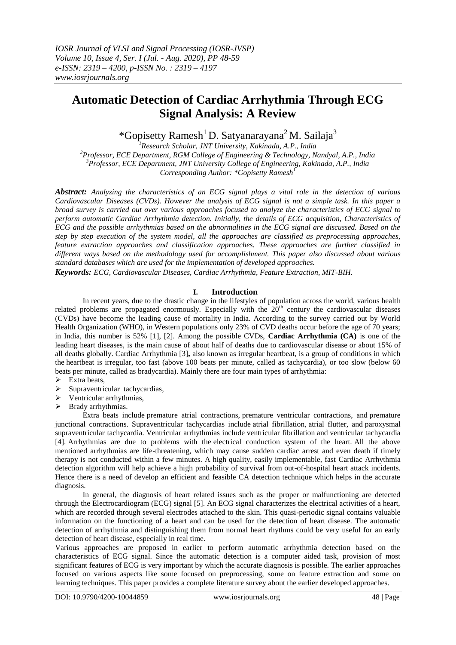# **Automatic Detection of Cardiac Arrhythmia Through ECG Signal Analysis: A Review**

\*Gopisetty Ramesh<sup>1</sup> D. Satyanarayana<sup>2</sup> M. Sailaja<sup>3</sup>

*Research Scholar, JNT University, Kakinada, A.P., India Professor, ECE Department, RGM College of Engineering & Technology, Nandyal, A.P., India Professor, ECE Department, JNT University College of Engineering, Kakinada, A.P., India Corresponding Author: \*Gopisetty Ramesh<sup>1</sup>*

*Abstract: Analyzing the characteristics of an ECG signal plays a vital role in the detection of various Cardiovascular Diseases (CVDs). However the analysis of ECG signal is not a simple task. In this paper a broad survey is carried out over various approaches focused to analyze the characteristics of ECG signal to perform automatic Cardiac Arrhythmia detection. Initially, the details of ECG acquisition, Characteristics of ECG and the possible arrhythmias based on the abnormalities in the ECG signal are discussed. Based on the step by step execution of the system model, all the approaches are classified as preprocessing approaches, feature extraction approaches and classification approaches. These approaches are further classified in different ways based on the methodology used for accomplishment. This paper also discussed about various standard databases which are used for the implementation of developed approaches.* 

*Keywords: ECG, Cardiovascular Diseases, Cardiac Arrhythmia, Feature Extraction, MIT-BIH.*

#### **I. Introduction**

In recent years, due to the drastic change in the lifestyles of population across the world, various health related problems are propagated enormously. Especially with the  $20<sup>th</sup>$  century the cardiovascular diseases (CVDs) have become the leading cause of mortality in India. According to the survey carried out by World Health Organization (WHO), in Western populations only 23% of CVD deaths occur before the age of 70 years; in India, this number is 52% [1], [2]. Among the possible CVDs, **Cardiac Arrhythmia (CA)** is one of the leading heart diseases, is the main cause of about half of deaths due to cardiovascular disease or about 15% of all deaths globally. Cardiac Arrhythmia [3]**,** also known as irregular heartbeat, is a group of conditions in which the heartbeat is irregular, too fast (above 100 beats per minute, called as tachycardia), or too slow (below 60 beats per minute, called as bradycardia). Mainly there are four main types of arrhythmia:

- $\triangleright$  Extra beats,
- $\triangleright$  Supraventricular tachycardias,
- > Ventricular arrhythmias,
- $\triangleright$  Brady arrhythmias.

Extra beats include premature atrial contractions, premature ventricular contractions, and premature junctional contractions. Supraventricular tachycardias include atrial fibrillation, atrial flutter, and paroxysmal supraventricular tachycardia. Ventricular arrhythmias include ventricular fibrillation and ventricular tachycardia [4]. Arrhythmias are due to problems with the electrical conduction system of the heart. All the above mentioned arrhythmias are life-threatening, which may cause sudden cardiac arrest and even death if timely therapy is not conducted within a few minutes. A high quality, easily implementable, fast Cardiac Arrhythmia detection algorithm will help achieve a high probability of survival from out-of-hospital heart attack incidents. Hence there is a need of develop an efficient and feasible CA detection technique which helps in the accurate diagnosis.

In general, the diagnosis of heart related issues such as the proper or malfunctioning are detected through the Electrocardiogram (ECG) signal [5]. An ECG signal characterizes the electrical activities of a heart, which are recorded through several electrodes attached to the skin. This quasi-periodic signal contains valuable information on the functioning of a heart and can be used for the detection of heart disease. The automatic detection of arrhythmia and distinguishing them from normal heart rhythms could be very useful for an early detection of heart disease, especially in real time.

Various approaches are proposed in earlier to perform automatic arrhythmia detection based on the characteristics of ECG signal. Since the automatic detection is a computer aided task, provision of most significant features of ECG is very important by which the accurate diagnosis is possible. The earlier approaches focused on various aspects like some focused on preprocessing, some on feature extraction and some on learning techniques. This paper provides a complete literature survey about the earlier developed approaches.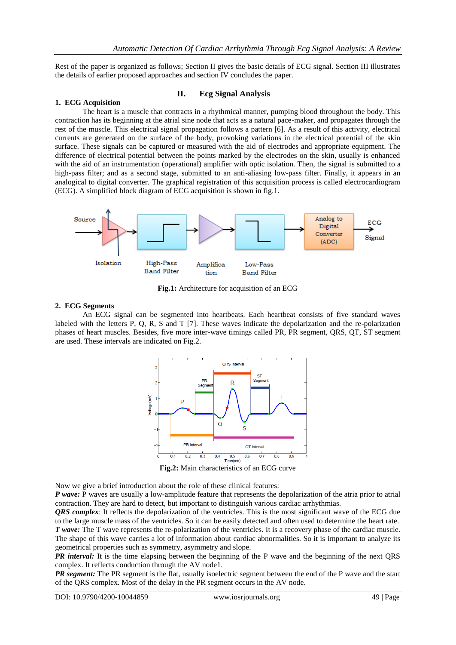Rest of the paper is organized as follows; Section II gives the basic details of ECG signal. Section III illustrates the details of earlier proposed approaches and section IV concludes the paper.

## **1. ECG Acquisition**

#### **II. Ecg Signal Analysis**

The heart is a muscle that contracts in a rhythmical manner, pumping blood throughout the body. This contraction has its beginning at the atrial sine node that acts as a natural pace-maker, and propagates through the rest of the muscle. This electrical signal propagation follows a pattern [6]. As a result of this activity, electrical currents are generated on the surface of the body, provoking variations in the electrical potential of the skin surface. These signals can be captured or measured with the aid of electrodes and appropriate equipment. The difference of electrical potential between the points marked by the electrodes on the skin, usually is enhanced with the aid of an instrumentation (operational) amplifier with optic isolation. Then, the signal is submitted to a high-pass filter; and as a second stage, submitted to an anti-aliasing low-pass filter. Finally, it appears in an analogical to digital converter. The graphical registration of this acquisition process is called electrocardiogram (ECG). A simplified block diagram of ECG acquisition is shown in fig.1.



**Fig.1:** Architecture for acquisition of an ECG

#### **2. ECG Segments**

An ECG signal can be segmented into heartbeats. Each heartbeat consists of five standard waves labeled with the letters P, Q, R, S and T [7]. These waves indicate the depolarization and the re-polarization phases of heart muscles. Besides, five more inter-wave timings called PR, PR segment, QRS, QT, ST segment are used. These intervals are indicated on Fig.2.



**Fig.2:** Main characteristics of an ECG curve

Now we give a brief introduction about the role of these clinical features:

*P wave:* P waves are usually a low-amplitude feature that represents the depolarization of the atria prior to atrial contraction. They are hard to detect, but important to distinguish various cardiac arrhythmias.

*QRS complex*: It reflects the depolarization of the ventricles. This is the most significant wave of the ECG due to the large muscle mass of the ventricles. So it can be easily detected and often used to determine the heart rate. *T* wave: The T wave represents the re-polarization of the ventricles. It is a recovery phase of the cardiac muscle. The shape of this wave carries a lot of information about cardiac abnormalities. So it is important to analyze its geometrical properties such as symmetry, asymmetry and slope.

*PR interval:* It is the time elapsing between the beginning of the P wave and the beginning of the next QRS complex. It reflects conduction through the AV node1.

*PR segment:* The PR segment is the flat, usually isoelectric segment between the end of the P wave and the start of the QRS complex. Most of the delay in the PR segment occurs in the AV node.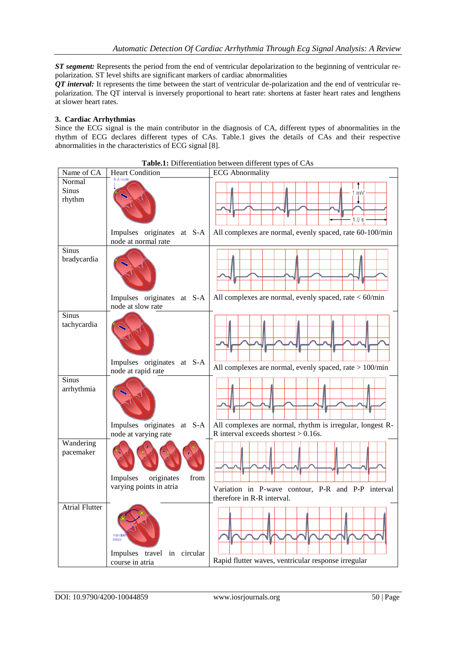*ST segment:* Represents the period from the end of ventricular depolarization to the beginning of ventricular repolarization. ST level shifts are significant markers of cardiac abnormalities

*QT interval:* It represents the time between the start of ventricular de-polarization and the end of ventricular repolarization. The QT interval is inversely proportional to heart rate: shortens at faster heart rates and lengthens at slower heart rates.

#### **3. Cardiac Arrhythmias**

Since the ECG signal is the main contributor in the diagnosis of CA, different types of abnormalities in the rhythm of ECG declares different types of CAs. Table.1 gives the details of CAs and their respective abnormalities in the characteristics of ECG signal [8].

| Name of CA             | <b>Heart Condition</b>                             | <b>Table.1:</b> Differentiation between different types of CAS<br><b>ECG</b> Abnormality             |
|------------------------|----------------------------------------------------|------------------------------------------------------------------------------------------------------|
| Normal                 | S-A node                                           |                                                                                                      |
| Sinus<br>rhythm        |                                                    | m٧<br>1.0 s                                                                                          |
|                        | Impulses originates at S-A<br>node at normal rate  | All complexes are normal, evenly spaced, rate 60-100/min                                             |
| Sinus<br>bradycardia   |                                                    |                                                                                                      |
|                        | Impulses originates at S-A<br>node at slow rate    | All complexes are normal, evenly spaced, rate $<$ 60/min                                             |
| Sinus<br>tachycardia   |                                                    |                                                                                                      |
|                        | Impulses originates at S-A<br>node at rapid rate   | All complexes are normal, evenly spaced, rate $> 100$ /min                                           |
| Sinus<br>arrhythmia    |                                                    |                                                                                                      |
|                        | Impulses originates at S-A<br>node at varying rate | All complexes are normal, rhythm is irregular, longest R-<br>R interval exceeds shortest $> 0.16$ s. |
| Wandering<br>pacemaker | from<br>Impulses<br>originates                     |                                                                                                      |
|                        | varying points in atria                            | Variation in P-wave contour, P-R and P-P interval<br>therefore in R-R interval.                      |
| <b>Atrial Flutter</b>  | Variabl<br>block<br>Impulses travel in circular    |                                                                                                      |
|                        | course in atria                                    | Rapid flutter waves, ventricular response irregular                                                  |

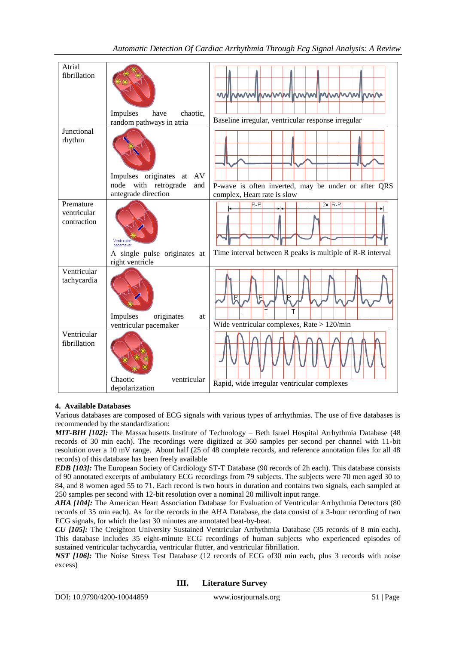| Automatic Detection Of Cardiac Arrhythmia Through Ecg Signal Analysis: A Review |  |  |  |
|---------------------------------------------------------------------------------|--|--|--|
|                                                                                 |  |  |  |

| Atrial<br>fibrillation                  | chaotic.<br>Impulses<br>have<br>random pathways in atria | munikumulimulimumumu<br>W<br>Baseline irregular, ventricular response irregular    |
|-----------------------------------------|----------------------------------------------------------|------------------------------------------------------------------------------------|
| Junctional                              |                                                          |                                                                                    |
| rhythm                                  | AV<br>Impulses originates<br>at                          |                                                                                    |
|                                         | with retrograde<br>node<br>and<br>antegrade direction    | P-wave is often inverted, may be under or after QRS<br>complex, Heart rate is slow |
| Premature<br>ventricular<br>contraction | pacemaker                                                | $R-R$<br>$2x$ R-R                                                                  |
|                                         | A single pulse originates at<br>right ventricle          | Time interval between R peaks is multiple of R-R interval                          |
| Ventricular<br>tachycardia              | Impulses<br>originates<br>at<br>ventricular pacemaker    | P<br>P<br>T<br>Wide ventricular complexes, Rate $> 120$ /min                       |
| Ventricular                             |                                                          |                                                                                    |
| fibrillation                            | Chaotic<br>ventricular                                   |                                                                                    |
|                                         | depolarization                                           | Rapid, wide irregular ventricular complexes                                        |
|                                         |                                                          |                                                                                    |

### **4. Available Databases**

Various databases are composed of ECG signals with various types of arrhythmias. The use of five databases is recommended by the standardization:

*MIT-BIH [102]:* The Massachusetts Institute of Technology – Beth Israel Hospital Arrhythmia Database (48 records of 30 min each). The recordings were digitized at 360 samples per second per channel with 11-bit resolution over a 10 mV range. About half (25 of 48 complete records, and reference annotation files for all 48 records) of this database has been freely available

*EDB [103]:* The European Society of Cardiology ST-T Database (90 records of 2h each). This database consists of 90 annotated excerpts of ambulatory ECG recordings from 79 subjects. The subjects were 70 men aged 30 to 84, and 8 women aged 55 to 71. Each record is two hours in duration and contains two signals, each sampled at 250 samples per second with 12-bit resolution over a nominal 20 millivolt input range.

*AHA [104]:* The American Heart Association Database for Evaluation of Ventricular Arrhythmia Detectors (80 records of 35 min each). As for the records in the AHA Database, the data consist of a 3-hour recording of two ECG signals, for which the last 30 minutes are annotated beat-by-beat.

*CU [105]:* The Creighton University Sustained Ventricular Arrhythmia Database (35 records of 8 min each). This database includes 35 eight-minute ECG recordings of human subjects who experienced episodes of sustained ventricular tachycardia, ventricular flutter, and ventricular fibrillation.

*NST [106]:* The Noise Stress Test Database (12 records of ECG of30 min each, plus 3 records with noise excess)

**III. Literature Survey**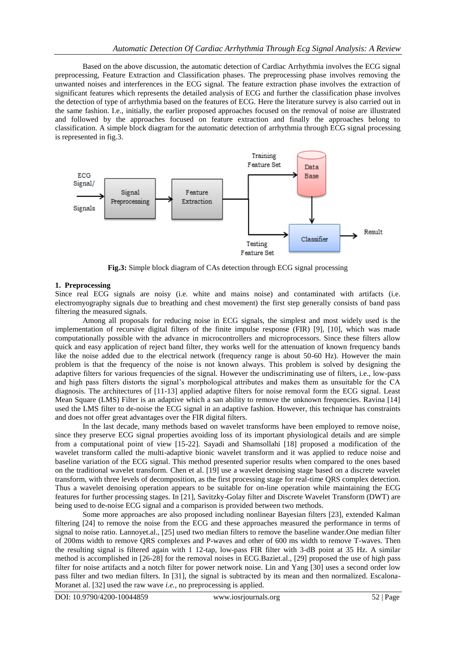Based on the above discussion, the automatic detection of Cardiac Arrhythmia involves the ECG signal preprocessing, Feature Extraction and Classification phases. The preprocessing phase involves removing the unwanted noises and interferences in the ECG signal. The feature extraction phase involves the extraction of significant features which represents the detailed analysis of ECG and further the classification phase involves the detection of type of arrhythmia based on the features of ECG. Here the literature survey is also carried out in the same fashion. I.e., initially, the earlier proposed approaches focused on the removal of noise are illustrated and followed by the approaches focused on feature extraction and finally the approaches belong to classification. A simple block diagram for the automatic detection of arrhythmia through ECG signal processing is represented in fig.3.



**Fig.3:** Simple block diagram of CAs detection through ECG signal processing

#### **1. Preprocessing**

Since real ECG signals are noisy (i.e. white and mains noise) and contaminated with artifacts (i.e. electromyography signals due to breathing and chest movement) the first step generally consists of band pass filtering the measured signals.

Among all proposals for reducing noise in ECG signals, the simplest and most widely used is the implementation of recursive digital filters of the finite impulse response (FIR) [9], [10], which was made computationally possible with the advance in microcontrollers and microprocessors. Since these filters allow quick and easy application of reject band filter, they works well for the attenuation of known frequency bands like the noise added due to the electrical network (frequency range is about 50-60 Hz). However the main problem is that the frequency of the noise is not known always. This problem is solved by designing the adaptive filters for various frequencies of the signal. However the undiscriminating use of filters, i.e., low-pass and high pass filters distorts the signal's morphological attributes and makes them as unsuitable for the CA diagnosis. The architectures of [11-13] applied adaptive filters for noise removal form the ECG signal. Least Mean Square (LMS) Filter is an adaptive which a san ability to remove the unknown frequencies. Ravina [14] used the LMS filter to de-noise the ECG signal in an adaptive fashion. However, this technique has constraints and does not offer great advantages over the FIR digital filters.

In the last decade, many methods based on wavelet transforms have been employed to remove noise, since they preserve ECG signal properties avoiding loss of its important physiological details and are simple from a computational point of view [15-22]. Sayadi and Shamsollahi [18] proposed a modification of the wavelet transform called the multi-adaptive bionic wavelet transform and it was applied to reduce noise and baseline variation of the ECG signal. This method presented superior results when compared to the ones based on the traditional wavelet transform. Chen et al. [19] use a wavelet denoising stage based on a discrete wavelet transform, with three levels of decomposition, as the first processing stage for real-time QRS complex detection. Thus a wavelet denoising operation appears to be suitable for on-line operation while maintaining the ECG features for further processing stages. In [21], Savitzky-Golay filter and Discrete Wavelet Transform (DWT) are being used to de-noise ECG signal and a comparison is provided between two methods.

Some more approaches are also proposed including nonlinear Bayesian filters [23], extended Kalman filtering [24] to remove the noise from the ECG and these approaches measured the performance in terms of signal to noise ratio. Lannoyet.al., [25] used two median filters to remove the baseline wander.One median filter of 200ms width to remove QRS complexes and P-waves and other of 600 ms width to remove T-waves. Then the resulting signal is filtered again with 1 12-tap, low-pass FIR filter with 3-dB point at 35 Hz. A similar method is accomplished in [26-28] for the removal noises in ECG.Baziet.al., [29] proposed the use of high pass filter for noise artifacts and a notch filter for power network noise. Lin and Yang [30] uses a second order low pass filter and two median filters. In [31], the signal is subtracted by its mean and then normalized. Escalona-Moranet al. [32] used the raw wave *i.e.*, no preprocessing is applied.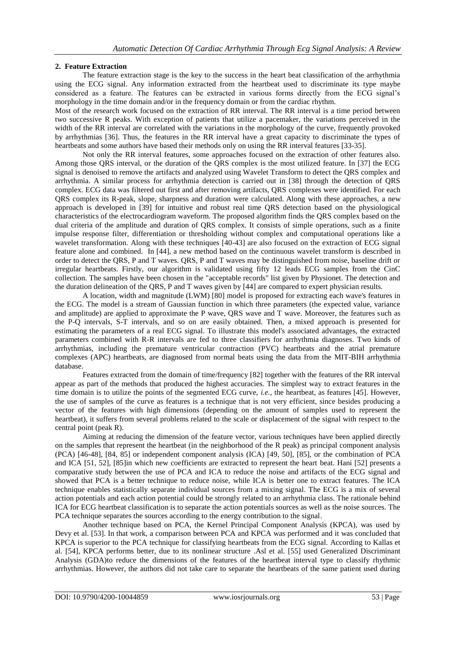#### **2. Feature Extraction**

The feature extraction stage is the key to the success in the heart beat classification of the arrhythmia using the ECG signal. Any information extracted from the heartbeat used to discriminate its type maybe considered as a feature. The features can be extracted in various forms directly from the ECG signal's morphology in the time domain and/or in the frequency domain or from the cardiac rhythm.

Most of the research work focused on the extraction of RR interval. The RR interval is a time period between two successive R peaks. With exception of patients that utilize a pacemaker, the variations perceived in the width of the RR interval are correlated with the variations in the morphology of the curve, frequently provoked by arrhythmias [36]. Thus, the features in the RR interval have a great capacity to discriminate the types of heartbeats and some authors have based their methods only on using the RR interval features [33-35].

Not only the RR interval features, some approaches focused on the extraction of other features also. Among those QRS interval, or the duration of the QRS complex is the most utilized feature. In [37] the ECG signal is denoised to remove the artifacts and analyzed using Wavelet Transform to detect the QRS complex and arrhythmia. A similar process for arrhythmia detection is carried out in [38] through the detection of QRS complex. ECG data was filtered out first and after removing artifacts, QRS complexes were identified. For each QRS complex its R-peak, slope, sharpness and duration were calculated. Along with these approaches, a new approach is developed in [39] for intuitive and robust real time QRS detection based on the physiological characteristics of the electrocardiogram waveform. The proposed algorithm finds the QRS complex based on the dual criteria of the amplitude and duration of QRS complex. It consists of simple operations, such as a finite impulse response filter, differentiation or thresholding without complex and computational operations like a wavelet transformation. Along with these techniques [40-43] are also focused on the extraction of ECG signal feature alone and combined. In [44], a new method based on the continuous wavelet transform is described in order to detect the QRS, P and T waves. QRS, P and T waves may be distinguished from noise, baseline drift or irregular heartbeats. Firstly, our algorithm is validated using fifty 12 leads ECG samples from the CinC collection. The samples have been chosen in the "acceptable records" list given by Physionet. The detection and the duration delineation of the QRS, P and T waves given by [44] are compared to expert physician results.

A location, width and magnitude (LWM) [80] model is proposed for extracting each wave's features in the ECG. The model is a stream of Gaussian function in which three parameters (the expected value, variance and amplitude) are applied to approximate the P wave, QRS wave and T wave. Moreover, the features such as the P-Q intervals, S-T intervals, and so on are easily obtained. Then, a mixed approach is presented for estimating the parameters of a real ECG signal. To illustrate this model's associated advantages, the extracted parameters combined with R-R intervals are fed to three classifiers for arrhythmia diagnoses. Two kinds of arrhythmias, including the premature ventricular contraction (PVC) heartbeats and the atrial premature complexes (APC) heartbeats, are diagnosed from normal beats using the data from the MIT-BIH arrhythmia database.

Features extracted from the domain of time/frequency [82] together with the features of the RR interval appear as part of the methods that produced the highest accuracies. The simplest way to extract features in the time domain is to utilize the points of the segmented ECG curve, *i.e.*, the heartbeat, as features [45]. However, the use of samples of the curve as features is a technique that is not very efficient, since besides producing a vector of the features with high dimensions (depending on the amount of samples used to represent the heartbeat), it suffers from several problems related to the scale or displacement of the signal with respect to the central point (peak R).

Aiming at reducing the dimension of the feature vector, various techniques have been applied directly on the samples that represent the heartbeat (in the neighborhood of the R peak) as principal component analysis (PCA) [46-48], [84, 85] or independent component analysis (ICA) [49, 50], [85], or the combination of PCA and ICA [51, 52], [85]in which new coefficients are extracted to represent the heart beat. Hani [52] presents a comparative study between the use of PCA and ICA to reduce the noise and artifacts of the ECG signal and showed that PCA is a better technique to reduce noise, while ICA is better one to extract features. The ICA technique enables statistically separate individual sources from a mixing signal. The ECG is a mix of several action potentials and each action potential could be strongly related to an arrhythmia class. The rationale behind ICA for ECG heartbeat classification is to separate the action potentials sources as well as the noise sources. The PCA technique separates the sources according to the energy contribution to the signal.

Another technique based on PCA, the Kernel Principal Component Analysis (KPCA), was used by Devy et al. [53]. In that work, a comparison between PCA and KPCA was performed and it was concluded that KPCA is superior to the PCA technique for classifying heartbeats from the ECG signal. According to Kallas et al. [54], KPCA performs better, due to its nonlinear structure .Asl et al. [55] used Generalized Discriminant Analysis (GDA)to reduce the dimensions of the features of the heartbeat interval type to classify rhythmic arrhythmias. However, the authors did not take care to separate the heartbeats of the same patient used during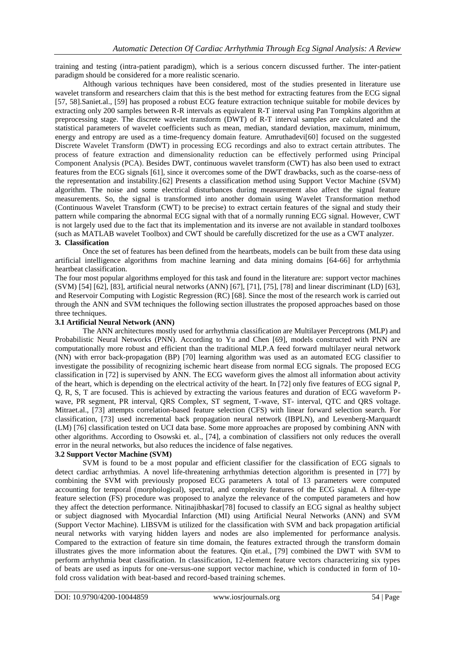training and testing (intra-patient paradigm), which is a serious concern discussed further. The inter-patient paradigm should be considered for a more realistic scenario.

Although various techniques have been considered, most of the studies presented in literature use wavelet transform and researchers claim that this is the best method for extracting features from the ECG signal [57, 58].Saniet.al., [59] has proposed a robust ECG feature extraction technique suitable for mobile devices by extracting only 200 samples between R-R intervals as equivalent R-T interval using Pan Tompkins algorithm at preprocessing stage. The discrete wavelet transform (DWT) of R-T interval samples are calculated and the statistical parameters of wavelet coefficients such as mean, median, standard deviation, maximum, minimum, energy and entropy are used as a time-frequency domain feature. Amruthadevi[60] focused on the suggested Discrete Wavelet Transform (DWT) in processing ECG recordings and also to extract certain attributes. The process of feature extraction and dimensionality reduction can be effectively performed using Principal Component Analysis (PCA). Besides DWT, continuous wavelet transform (CWT) has also been used to extract features from the ECG signals [61], since it overcomes some of the DWT drawbacks, such as the coarse-ness of the representation and instability.[62] Presents a classification method using Support Vector Machine (SVM) algorithm. The noise and some electrical disturbances during measurement also affect the signal feature measurements. So, the signal is transformed into another domain using Wavelet Transformation method (Continuous Wavelet Transform (CWT) to be precise) to extract certain features of the signal and study their pattern while comparing the abnormal ECG signal with that of a normally running ECG signal. However, CWT is not largely used due to the fact that its implementation and its inverse are not available in standard toolboxes (such as MATLAB wavelet Toolbox) and CWT should be carefully discretized for the use as a CWT analyzer. **3. Classification** 

Once the set of features has been defined from the heartbeats, models can be built from these data using artificial intelligence algorithms from machine learning and data mining domains [64-66] for arrhythmia heartbeat classification.

The four most popular algorithms employed for this task and found in the literature are: support vector machines (SVM) [54] [62], [83], artificial neural networks (ANN) [67], [71], [75], [78] and linear discriminant (LD) [63], and Reservoir Computing with Logistic Regression (RC) [68]. Since the most of the research work is carried out through the ANN and SVM techniques the following section illustrates the proposed approaches based on those three techniques.

#### **3.1 Artificial Neural Network (ANN)**

The ANN architectures mostly used for arrhythmia classification are Multilayer Perceptrons (MLP) and Probabilistic Neural Networks (PNN). According to Yu and Chen [69], models constructed with PNN are computationally more robust and efficient than the traditional MLP.A feed forward multilayer neural network (NN) with error back-propagation (BP) [70] learning algorithm was used as an automated ECG classifier to investigate the possibility of recognizing ischemic heart disease from normal ECG signals. The proposed ECG classification in [72] is supervised by ANN. The ECG waveform gives the almost all information about activity of the heart, which is depending on the electrical activity of the heart. In [72] only five features of ECG signal P, Q, R, S, T are focused. This is achieved by extracting the various features and duration of ECG waveform Pwave, PR segment, PR interval, QRS Complex, ST segment, T-wave, ST- interval, QTC and QRS voltage. Mitraet.al., [73] attempts correlation-based feature selection (CFS) with linear forward selection search. For classification, [73] used incremental back propagation neural network (IBPLN), and Levenberg-Marquardt (LM) [76] classification tested on UCI data base. Some more approaches are proposed by combining ANN with other algorithms. According to Osowski et. al., [74], a combination of classifiers not only reduces the overall error in the neural networks, but also reduces the incidence of false negatives.

#### **3.2 Support Vector Machine (SVM)**

SVM is found to be a most popular and efficient classifier for the classification of ECG signals to detect cardiac arrhythmias. A novel life-threatening arrhythmias detection algorithm is presented in [77] by combining the SVM with previously proposed ECG parameters A total of 13 parameters were computed accounting for temporal (morphological), spectral, and complexity features of the ECG signal. A filter-type feature selection (FS) procedure was proposed to analyze the relevance of the computed parameters and how they affect the detection performance. Nitinajibhaskar[78] focused to classify an ECG signal as healthy subject or subject diagnosed with Myocardial Infarction (MI) using Artificial Neural Networks (ANN) and SVM (Support Vector Machine). LIBSVM is utilized for the classification with SVM and back propagation artificial neural networks with varying hidden layers and nodes are also implemented for performance analysis. Compared to the extraction of feature sin time domain, the features extracted through the transform domain illustrates gives the more information about the features. Qin et.al., [79] combined the DWT with SVM to perform arrhythmia beat classification. In classification, 12-element feature vectors characterizing six types of beats are used as inputs for one-versus-one support vector machine, which is conducted in form of 10 fold cross validation with beat-based and record-based training schemes.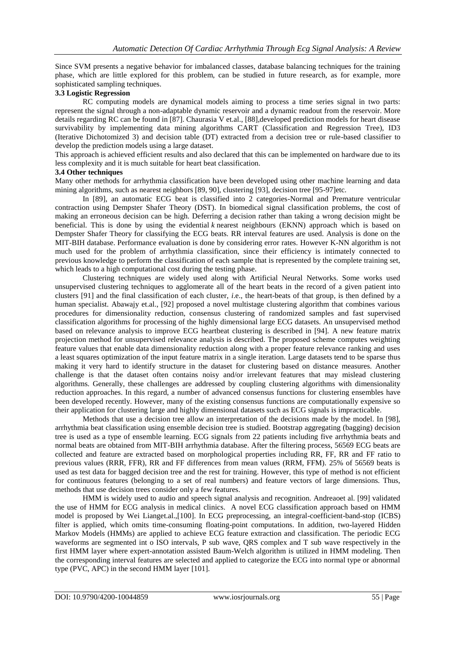Since SVM presents a negative behavior for imbalanced classes, database balancing techniques for the training phase, which are little explored for this problem, can be studied in future research, as for example, more sophisticated sampling techniques.

#### **3.3 Logistic Regression**

RC computing models are dynamical models aiming to process a time series signal in two parts: represent the signal through a non-adaptable dynamic reservoir and a dynamic readout from the reservoir. More details regarding RC can be found in [87]. Chaurasia V et.al., [88],developed prediction models for heart disease survivability by implementing data mining algorithms CART (Classification and Regression Tree), ID3 (Iterative Dichotomized 3) and decision table (DT) extracted from a decision tree or rule-based classifier to develop the prediction models using a large dataset.

This approach is achieved efficient results and also declared that this can be implemented on hardware due to its less complexity and it is much suitable for heart beat classification.

#### **3.4 Other techniques**

Many other methods for arrhythmia classification have been developed using other machine learning and data mining algorithms, such as nearest neighbors [89, 90], clustering [93], decision tree [95-97]etc.

In [89], an automatic ECG beat is classified into 2 categories-Normal and Premature ventricular contraction using Dempster Shafer Theory (DST). In biomedical signal classification problems, the cost of making an erroneous decision can be high. Deferring a decision rather than taking a wrong decision might be beneficial. This is done by using the evidential *k* nearest neighbours (EKNN) approach which is based on Dempster Shafer Theory for classifying the ECG beats. RR interval features are used. Analysis is done on the MIT-BIH database. Performance evaluation is done by considering error rates. However K-NN algorithm is not much used for the problem of arrhythmia classification, since their efficiency is intimately connected to previous knowledge to perform the classification of each sample that is represented by the complete training set, which leads to a high computational cost during the testing phase.

Clustering techniques are widely used along with Artificial Neural Networks. Some works used unsupervised clustering techniques to agglomerate all of the heart beats in the record of a given patient into clusters [91] and the final classification of each cluster, *i*.e., the heart-beats of that group, is then defined by a human specialist. Abawajy et.al., [92] proposed a novel multistage clustering algorithm that combines various procedures for dimensionality reduction, consensus clustering of randomized samples and fast supervised classification algorithms for processing of the highly dimensional large ECG datasets. An unsupervised method based on relevance analysis to improve ECG heartbeat clustering is described in [94]. A new feature matrix projection method for unsupervised relevance analysis is described. The proposed scheme computes weighting feature values that enable data dimensionality reduction along with a proper feature relevance ranking and uses a least squares optimization of the input feature matrix in a single iteration. Large datasets tend to be sparse thus making it very hard to identify structure in the dataset for clustering based on distance measures. Another challenge is that the dataset often contains noisy and/or irrelevant features that may mislead clustering algorithms. Generally, these challenges are addressed by coupling clustering algorithms with dimensionality reduction approaches. In this regard, a number of advanced consensus functions for clustering ensembles have been developed recently. However, many of the existing consensus functions are computationally expensive so their application for clustering large and highly dimensional datasets such as ECG signals is impracticable.

Methods that use a decision tree allow an interpretation of the decisions made by the model. In [98], arrhythmia beat classification using ensemble decision tree is studied. Bootstrap aggregating (bagging) decision tree is used as a type of ensemble learning. ECG signals from 22 patients including five arrhythmia beats and normal beats are obtained from MIT-BIH arrhythmia database. After the filtering process, 56569 ECG beats are collected and feature are extracted based on morphological properties including RR, FF, RR and FF ratio to previous values (RRR, FFR), RR and FF differences from mean values (RRM, FFM). 25% of 56569 beats is used as test data for bagged decision tree and the rest for training. However, this type of method is not efficient for continuous features (belonging to a set of real numbers) and feature vectors of large dimensions. Thus, methods that use decision trees consider only a few features.

HMM is widely used to audio and speech signal analysis and recognition. Andreaoet al. [99] validated the use of HMM for ECG analysis in medical clinics. A novel ECG classification approach based on HMM model is proposed by Wei Lianget.al.,[100]. In ECG preprocessing, an integral-coefficient-band-stop (ICBS) filter is applied, which omits time-consuming floating-point computations. In addition, two-layered Hidden Markov Models (HMMs) are applied to achieve ECG feature extraction and classification. The periodic ECG waveforms are segmented int o ISO intervals, P sub wave, QRS complex and T sub wave respectively in the first HMM layer where expert-annotation assisted Baum-Welch algorithm is utilized in HMM modeling. Then the corresponding interval features are selected and applied to categorize the ECG into normal type or abnormal type (PVC, APC) in the second HMM layer [101].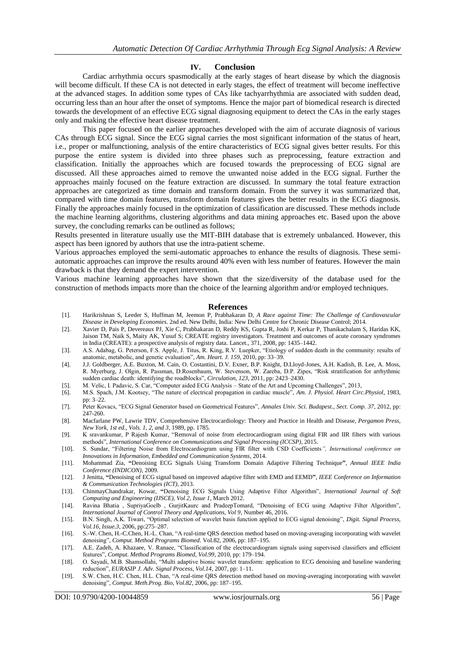#### **IV. Conclusion**

Cardiac arrhythmia occurs spasmodically at the early stages of heart disease by which the diagnosis will become difficult. If these CA is not detected in early stages, the effect of treatment will become ineffective at the advanced stages. In addition some types of CAs like tachyarrhythmia are associated with sudden dead, occurring less than an hour after the onset of symptoms. Hence the major part of biomedical research is directed towards the development of an effective ECG signal diagnosing equipment to detect the CAs in the early stages only and making the effective heart disease treatment.

This paper focused on the earlier approaches developed with the aim of accurate diagnosis of various CAs through ECG signal. Since the ECG signal carries the most significant information of the status of heart, i.e., proper or malfunctioning, analysis of the entire characteristics of ECG signal gives better results. For this purpose the entire system is divided into three phases such as preprocessing, feature extraction and classification. Initially the approaches which are focused towards the preprocessing of ECG signal are discussed. All these approaches aimed to remove the unwanted noise added in the ECG signal. Further the approaches mainly focused on the feature extraction are discussed. In summary the total feature extraction approaches are categorized as time domain and transform domain. From the survey it was summarized that, compared with time domain features, transform domain features gives the better results in the ECG diagnosis. Finally the approaches mainly focused in the optimization of classification are discussed. These methods include the machine learning algorithms, clustering algorithms and data mining approaches etc. Based upon the above survey, the concluding remarks can be outlined as follows;

Results presented in literature usually use the MIT-BIH database that is extremely unbalanced. However, this aspect has been ignored by authors that use the intra-patient scheme.

Various approaches employed the semi-automatic approaches to enhance the results of diagnosis. These semiautomatic approaches can improve the results around 40% even with less number of features. However the main drawback is that they demand the expert intervention.

Various machine learning approaches have shown that the size/diversity of the database used for the construction of methods impacts more than the choice of the learning algorithm and/or employed techniques.

#### **References**

- [1]. Harikrishnan S, Leeder S, Huffman M, Jeemon P, Prabhakaran D, *A Race against Time: The Challenge of Cardiovascular Disease in Developing Economies*. 2nd ed. New Delhi, India: New Delhi Centre for Chronic Disease Control; 2014.
- [2]. Xavier D, Pais P, Devereaux PJ, Xie C, Prabhakaran D, Reddy KS, Gupta R, Joshi P, Kerkar P, Thanikachalam S, Haridas KK, Jaison TM, Naik S, Maity AK, Yusuf S; CREATE registry investigators. Treatment and outcomes of acute coronary syndromes in India (CREATE): a prospective analysis of registry data. Lancet., 371, 2008, pp: 1435–1442.
- [3]. A.S. Adabag, G. Peterson, F.S. Apple, J. Titus, R. King, R.V. Luepker, "Etiology of sudden death in the community: results of anatomic, metabolic, and genetic evaluation", *Am. Heart. J. 159*, 2010, pp: 33–39.
- [4]. J.J. Goldberger, A.E. Buxton, M. Cain, O. Costantini, D.V. Exner, B.P. Knight, D.Lloyd-Jones, A.H. Kadish, B. Lee, A. Moss, R. Myerburg, J. Olgin, R. Passman, D.Rosenbaum, W. Stevenson, W. Zareba, D.P. Zipes, "Risk stratification for arrhythmic sudden cardiac death: identifying the roadblocks", *Circulation, 123*, 2011, pp: 2423–2430.
- [5]. M. Velic, I. Padavic, S. Car, "Computer aided ECG Analysis State of the Art and Upcoming Challenges", 2013,
- [6]. M.S. Spach, J.M. Kootsey, "The nature of electrical propagation in cardiac muscle", *Am. J. Physiol. Heart Circ.Physiol*, 1983, pp: 3–22.
- [7]. Peter Kovacs, "ECG Signal Generator based on Geometrical Features", *Annales Univ. Sci. Budapest., Sect. Comp. 37*, 2012, pp: 247-260.
- [8]. Macfarlane PW, Lawrie TDV, Comprehensive Electrocardiology: Theory and Practice in Health and Disease, *Pergamon Press, New York, 1st ed., Vols. 1, 2, and 3*, 1989, pp. 1785.
- [9]. K sravankumar, P Rajesh Kumar, "Removal of noise from electrocardiogram using digital FIR and IIR filters with various methods", *International Conference on Communications and Signal Processing (ICCSP)*, 2015.
- [10]. S. Sundar, "Filtering Noise from Electrocardiogram using FIR filter with CSD Coefficients*", International conference on Innovations in Information, Embedded and Communication Systems*, 2014.
- [11]. Mohammad Zia, **"**Denoising ECG Signals Using Transform Domain Adaptive Filtering Technique**"**, *Annual IEEE India Conference (INDICON)*, 2009.
- [12]. J Jenitta, **"**Denoising of ECG signal based on improved adaptive filter with EMD and EEMD**"**, *IEEE Conference on Information & Communication Technologies (ICT)*, 2013.
- [13]. ChinmayChandrakar, Kowar, **"**Denoising ECG Signals Using Adaptive Filter Algorithm", *International Journal of Soft Computing and Engineering (IJSCE), Vol 2, Issue 1*, March 2012.
- [14]. Ravina Bhatia , SupriyaGoelb , GurjitKaurc and PradeepTomard, "Denoising of ECG using Adaptive Filter Algorithm", *International Journal of Control Theory and Applications, Vol 9*, Number 46, 2016.
- [15]. B.N. Singh, A.K. Tiwari, "Optimal selection of wavelet basis function applied to ECG signal denoising", *Digit. Signal Process, Vol.16, Issue.3*, 2006, pp:275–287.
- [16]. S.-W. Chen, H.-C.Chen, H.-L. Chan, "A real-time QRS detection method based on moving-averaging incorporating with wavelet denoising", *Comput. Method Programs Biomed*. Vol.82, 2006, pp: 187–195.
- [17]. A.E. Zadeh, A. Khazaee, V. Ranaee, "Classification of the electrocardiogram signals using supervised classifiers and efficient features", *Comput. Method Programs Biomed, Vol.99*, 2010, pp: 179–194.
- [18]. O. Sayadi, M.B. Shamsollahi, "Multi adaptive bionic wavelet transform: application to ECG denoising and baseline wandering reduction", *EURASIP J. Adv. Signal Process, Vol.14*, 2007, pp: 1–11.
- [19]. S.W. Chen, H.C. Chen, H.L. Chan, "A real-time QRS detection method based on moving-averaging incorporating with wavelet denoising", *Comput. Meth.Prog. Bio, Vol.82*, 2006, pp: 187–195.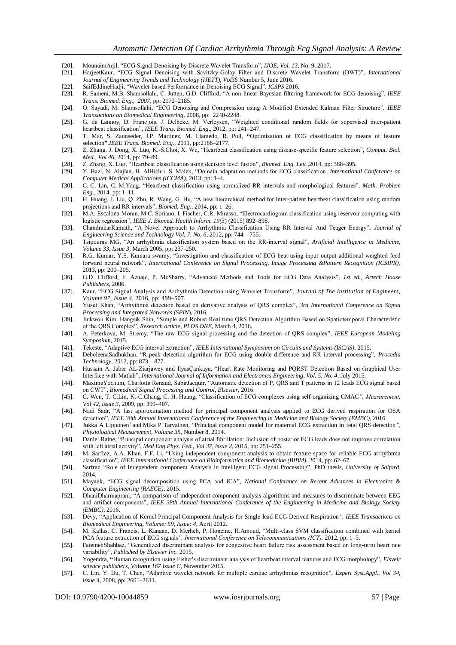- [20]. MounaimAqil, "ECG Signal Denoising by Discrete Wavelet Transform", *IJOE, Vol. 13*, No. 9, 2017.
- [21]. HarjeetKaur, "ECG Signal Denoising with Savitzky-Golay Filter and Discrete Wavelet Transform (DWT)", *International Journal of Engineering Trends and Technology (IJETT), Vol36* Number 5, June 2016.
- [22]. SaifEddineHadji, "Wavelet-based Performance in Denoising ECG Signal", *ICSPS* 2016.
- [23]. R. Sameni, M.B. Shamsollahi, C. Jutten, G.D. Clifford, "A non-linear Bayesian filtering framework for ECG denoising", *IEEE Trans. Biomed. Eng., 2007*, pp: 2172–2185.
- [24]. O. Sayadi, M. Shamsollahi, "ECG Denoising and Compression using A Modified Extended Kalman Filter Structure", *IEEE Transactions on Biomedical Engineering,* 2008, pp: 2240-2248.
- [25]. G. de Lannoy, D. Franc ois, J. Delbeke, M. Verleysen, "Weighted conditional random fields for supervised inter-patient heartbeat classification", *IEEE Trans. Biomed. Eng*., 2012, pp: 241–247.
- [26]. T. Mar, S. Zaunseder, J.P. Martínez, M. Llamedo, R. Poll, **"**Optimization of ECG classification by means of feature selection**"**,*IEEE Trans. Biomed. Eng*., 2011, pp:2168–2177.
- [27]. Z. Zhang, J. Dong, X. Luo, K.-S.Choi, X. Wu, "Heartbeat classification using disease-specific feature selection", *Comput. Biol. Med., Vol 46,* 2014, pp: 79–89.
- [28]. Z. Zhang, X. Luo, "Heartbeat classification using decision level fusion", *Biomed. Eng. Lett*.,2014, pp: 388–395.
- [29]. Y. Bazi, N. Alajlan, H. AlHichri, S. Malek, "Domain adaptation methods for ECG classification*, International Conference on Computer Medical Applications (ICCMA)*, 2013, pp: 1–4.
- [30]. C.-C. Lin, C.-M.Yang, "Heartbeat classification using normalized RR intervals and morphological features", *Math. Problem Eng*., 2014, pp: 1–11.
- [31]. H. Huang, J. Liu, Q. Zhu, R. Wang, G. Hu, "A new hierarchical method for inter-patient heartbeat classification using random projections and RR intervals", *Biomed. Eng*., 2014, pp: 1–26.
- [32]. M.A. Escalona-Moran, M.C. Soriano, I. Fischer, C.R. Mirasso, "Electrocardiogram classification using reservoir computing with logistic regression", *IEEE J. Biomed. Health Inform. 19(3*) (2015) 892–898.
- [33]. ChandrakarKamath, "A Novel Approach to Arrhythmia Classification Using RR Interval And Teager Energy", *Journal of Engineering Science and Technology Vol. 7, No. 6*, 2012, pp: 744 – 755.
- [34]. Tsipouras MG, "An arrhythmia classification system based on the RR-interval signal", *Artificial Intelligence in Medicine, Volume 33, Issue 3*, March 2005, pp: 237-250.
- [35]. R.G. Kumar, Y.S. Kumara swamy, "Investigation and classification of ECG beat using input output additional weighted feed forward neural network", *International Conference on Signal Processing, Image Processing &Pattern Recognition (ICSIPR)*, 2013, pp: 200–205.
- [36]. G.D. Clifford, F. Azuaje, P. McSharry, "Advanced Methods and Tools for ECG Data Analysis", *1st ed., Artech House Publishers*, 2006.
- [37]. Kaur, "ECG Signal Analysis and Arrhythmia Detection using Wavelet Transform", *Journal of The Institution of Engineers, Volume 97, Issue 4*, 2016, pp: 499–507.
- [38]. Yusuf Khan, "Arrhythmia detection based on derivative analysis of QRS complex", *3rd International Conference on Signal Processing and Integrated Networks (SPIN*), 2016.
- [39]. Jinkwon Kim, Hangsik Shin, "Simple and Robust Real time QRS Detection Algorithm Based on Spatiotemporal Characteristic of the QRS Complex", *Research article, PLOS ONE*, March 4, 2016.
- [40]. A. Peterkova, M. Stremy, "The raw ECG signal processing and the detection of QRS complex", *IEEE European Modeling Symposium,* 2015.
- [41]. Tekeste, "Adaptive ECG interval extraction", *IEEE International Symposium on Circuits and Systems (ISCAS),* 2015.
- [42]. DeboleenaSadhukhan, "R-peak detection algorithm for ECG using double difference and RR interval processing", *Procedia Technology*, 2012, pp: 873 – 877.
- [43]. Hussain A. Jaber AL-Ziarjawey and IlyasÇankaya, "Heart Rate Monitoring and PQRST Detection Based on Graphical User Interface with Matlab", *International Journal of Information and Electronics Engineering, Vol. 5, No. 4*, July 2015.
- [44]. MaximeYochum, Charlotte Renaud, SabirJacquir, "Automatic detection of P, QRS and T patterns in 12 leads ECG signal based on CWT", *Biomedical Signal Processing and Control, Elsevier,* 2016.
- [45]. C. Wen, T.-C.Lin, K.-C.Chang, C.-H. Huang, "Classification of ECG complexes using self-organizing CMAC*", Measurement, Vol 42, issue 3*, 2009, pp: 399–407.
- [46]. Nadi Sadr, "A fast approximation method for principal component analysis applied to ECG derived respiration for OSA detection", *IEEE 38th Annual International Conference of the Engineering in Medicine and Biology Society (EMBC)*, 2016.
- [47]. Jukka A Lipponen<sup>1</sup> and Mika P Tarvainen, "Principal component model for maternal ECG extraction in fetal QRS detection", *Physiological Measurement, Volume 35*, Number 8, 2014.
- [48]. Daniel Raine, "Principal component analysis of atrial fibrillation: Inclusion of posterior ECG leads does not improve correlation with left atrial activity", *Med Eng Phys. Feb., Vol 37, issue 2*, 2015, pp: 251–255.
- [49]. M. Sarfraz, A.A. Khan, F.F. Li, "Using independent component analysis to obtain feature space for reliable ECG arrhythmia classification", *IEEE International Conference on Bioinformatics and Biomedicine (BIBM),* 2014, pp: 62–67.
- [50]. Sarfraz, "Role of independent component Analysis in intelligent ECG signal Processing", PhD thesis, *University of Salford*, 2014.
- [51]. Mayank, "ECG signal decomposition using PCA and ICA", *National Conference on Recent Advances in Electronics & Computer Engineering (RAECE)*, 2015.
- [52]. DhaniDharmaprani, "A comparison of independent component analysis algorithms and measures to discriminate between EEG and artifact components", *IEEE 38th Annual International Conference of the Engineering in Medicine and Biology Society (EMBC),* 2016.
- [53]. Devy, "Application of Kernel Principal Component Analysis for Single-lead-ECG-Derived Respiration*", IEEE Transactions on Biomedical Engineering, Volume: 59, Issue: 4*, April 2012.
- [54]. M. Kallas, C. Francis, L. Kanaan, D. Merheb, P. Honeine, H.Amoud, "Multi-class SVM classification combined with kernel PCA feature extraction of ECG signals*", International Conference on Telecommunications (ICT),* 2012, pp: 1–5.
- [55]. FatemehShahbaz, "Generalized discriminant analysis for congestive heart failure risk assessment based on long-term heart rate variability", *Published by Elsevier Inc*. 2015.
- [56]. Yogendra, **"**Human recognition using Fisher's discriminant analysis of heartbeat interval features and ECG morphology", *Elsveir science publishers, Volume 167 Issue C*, November 2015.
- [57]. C. Lin, Y. Du, T. Chen, "Adaptive wavelet network for multiple cardiac arrhythmias recognition", *Expert Syst.Appl., Vol 34, issue 4*, 2008, pp: 2601–2611.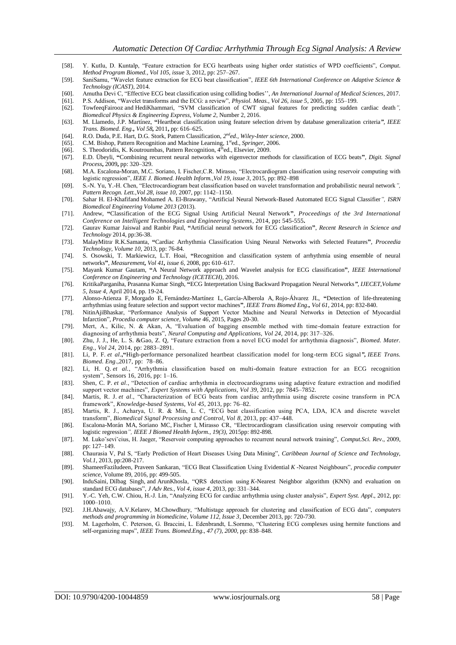- [58]. Y. Kutlu, D. Kuntalp, "Feature extraction for ECG heartbeats using higher order statistics of WPD coefficients", *Comput. Method Program Biomed., Vol 105, issue* 3, 2012, pp: 257–267.
- [59]. SaniSamu, "Wavelet feature extraction for ECG beat classification", *IEEE 6th International Conference on Adaptive Science & Technology (ICAST)*, 2014.
- [60]. Amutha Devi C, "Effective ECG beat classification using colliding bodies'', *An International Journal of Medical Sciences*, 2017.
- [61]. P.S. Addison, "Wavelet transforms and the ECG: a review", *Physiol. Meas., Vol 26, issue 5*, 2005, pp: 155–199.
- [62]. TowfeeqFairooz and HediKhammari, "SVM classification of CWT signal features for predicting sudden cardiac death*", Biomedical Physics & Engineering Express, Volume 2*, Number 2, 2016.
- [63]. M. Llamedo, J.P. Martínez, **"**Heartbeat classification using feature selection driven by database generalization criteria*", IEEE Trans. Biomed. Eng., Vol 58,* 2011**,** pp: 616–625.
- [64]. R.O. Duda, P.E. Hart, D.G. Stork, Pattern Classification, 2<sup>nd</sup>ed., Wiley-Inter science, 2000.
- [65]. C.M. Bishop, Pattern Recognition and Machine Learning, 1<sup>st</sup>ed., *Springer*, 2006.
- [66]. S. Theodoridis, K. Koutroumbas, Pattern Recognition, 4<sup>th</sup>ed., Elsevier, 2009.
- [67]. E.D. Übeyli, **"**Combining recurrent neural networks with eigenvector methods for classification of ECG beats**"**, *Digit. Signal Process***,** 2009**,** pp: 320–329.
- [68]. M.A. Escalona-Moran, M.C. Soriano, I. Fischer,C.R. Mirasso, "Electrocardiogram classification using reservoir computing with logistic regression", *IEEE J. Biomed. Health Inform.,Vol 19, issue 3*, 2015, pp: 892–898
- [69]. S.-N. Yu, Y.-H. Chen, "Electrocardiogram beat classification based on wavelet transformation and probabilistic neural network*", Pattern Recogn. Lett.,Vol 28, issue 10*, 2007, pp: 1142–1150.
- [70]. Sahar H. El-Khafifand Mohamed A. El-Brawany, "Artificial Neural Network-Based Automated ECG Signal Classifier*", ISRN Biomedical Engineering Volume 2013* (2013).
- [71]. Andrew, **"**Classification of the ECG Signal Using Artificial Neural Network**"**, *Proceedings of the 3rd International Conference on Intelligent Technologies and Engineering Systems*, 2014, pp**:** 545-555**.**
- [72]. Gaurav Kumar Jaiswal and Ranbir Paul, **"**Artificial neural network for ECG classification**"**, *Recent Research in Science and Technology* 2014, pp:36-38.
- [73]. MalayMitra, R.K.Samanta, **"**Cardiac Arrhythmia Classification Using Neural Networks with Selected Features**"**, *Proceedia Technology, Volume 10*, 2013, pp: 76-84.
- [74]. S. Osowski, T. Markiewicz, L.T. Hoai, **"**Recognition and classification system of arrhythmia using ensemble of neural networks**"**, *Measurement, Vol 41, issue 6*, 2008, pp**:** 610–617.
- [75]. Mayank Kumar Gautam, **"**A Neural Network approach and Wavelet analysis for ECG classification**"**, *IEEE International Conference on Engineering and Technology (ICETECH)*, 2016.
- [76]. KritikaParganiha, Prasanna Kumar Singh, **"**ECG Interpretation Using Backward Propagation Neural Networks*", IJECET,Volume 5, Issue 4,* April 2014, pp. 19-24.
- [77]. Alonso-Atienza F, Morgado E, Fernández-Martínez L, García-Alberola A, Rojo-Álvarez JL, **"**Detection of life-threatening arrhythmias using feature selection and support vector machines**"**, *IEEE Trans Biomed Eng., Vol 61*, 2014, pp: 832-840.
- [78]. [NitinAjiBhaskar,](http://www.sciencedirect.com/science/article/pii/S1877050915000447#!) "Performance Analysis of Support Vector Machine and Neural Networks in Detection of Myocardial Infarction", *Procedia computer science, Volume 46*, 2015, Pages 20-30.
- [79]. Mert, A., Kilic, N. & Akan, A, "Evaluation of bagging ensemble method with time-domain feature extraction for diagnosing of arrhythmia beats", *Neural Computing and Applications, Vol 24*, 2014, pp: 317–326.
- [80]. Zhu, J. J., He, L. S. &Gao, Z. Q, "Feature extraction from a novel ECG model for arrhythmia diagnosis", *Biomed. Mater. Eng., Vol 24*, 2014, pp: 2883–2891.
- [81]. Li, P. F. *et al*.**,"**High-performance personalized heartbeat classification model for long-term ECG signal*", IEEE Trans. Biomed. Eng*.,2017, pp: 78–86.
- [82]. Li, H. Q. *et al.*, "Arrhythmia classification based on multi-domain feature extraction for an ECG recognition system", Sensors 16, 2016, pp: 1–16.
- [83]. Shen, C. P. *et al*., "Detection of cardiac arrhythmia in electrocardiograms using adaptive feature extraction and modified support vector machines", *Expert Systems with Applications, Vol 39*, 2012, pp: 7845–7852.
- [84]. Martis, R. J. *et al*., "Characterization of ECG beats from cardiac arrhythmia using discrete cosine transform in PCA framework", *Knowledge-based Systems, Vol 45*, 2013, pp: 76–82.
- [85]. Martis, R. J., Acharya, U. R. & Min, L. C, "ECG beat classification using PCA, LDA, ICA and discrete wavelet transform", *Biomedical Signal Processing and Control, Vol 8*, 2013, pp: 437–448.
- [86]. Escalona-Morán MA, Soriano MC, Fischer I, Mirasso CR, "Electrocardiogram classification using reservoir computing with logistic regression*", IEEE J Biomed Health Inform., 19(3),* 2015pp: 892-898.
- [87]. M. Lukoˇseviˇcius, H. Jaeger, "Reservoir computing approaches to recurrent neural network training", *Comput.Sci. Rev*., 2009, pp: 127–149.
- [88]. Chaurasia V, Pal S, "Early Prediction of Heart Diseases Using Data Mining", *Caribbean Journal of Science and Technology, Vol.1*, 2013, pp:208-217.
- [89]. [ShameerFaziludeen, Praveen Sankaran,](http://www.sciencedirect.com/science/article/pii/S1877050916311711#!) "ECG Beat Classification Using Evidential *K* -Nearest Neighbours", *procedia computer science*, Volume 89, 2016, pp: 499-505.
- [90]. InduSaini, Dilbag Singh, and ArunKhosla, "QRS detection using *K*-Nearest Neighbor algorithm (KNN) and evaluation on standard ECG databases", *J Adv Res., Vol 4, issue 4*, 2013, pp: 331–344.
- [91]. Y.-C. Yeh, C.W. Chiou, H.-J. Lin, "Analyzing ECG for cardiac arrhythmia using cluster analysis", *Expert Syst. Appl*., 2012, pp: 1000–1010.
- [92]. [J.H.Abawajy, A.V.Kelarev, M.Chowdhury,](http://www.sciencedirect.com/science/article/pii/S0169260713002678#!) "Multistage approach for clustering and classification of ECG data", *computers methods and programming in biomedicine, Volume 112, Issue 3*, December 2013, pp: 720-730.
- [93]. M. Lagerholm, C. Peterson, G. Braccini, L. Edenbrandt, L.Sornmo, "Clustering ECG complexes using hermite functions and self-organizing maps", *IEEE Trans. Biomed.Eng., 47 (7), 2000*, pp: 838–848.